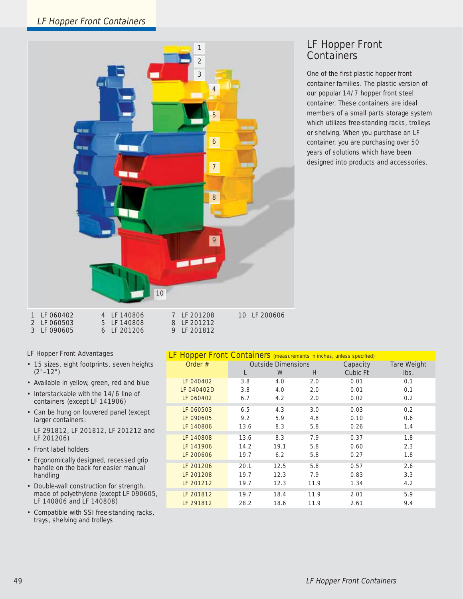# LF Hopper Front Containers



LF 201212 LF 201812

# LF Hopper Front **Containers**

One of the first plastic hopper front container families. The plastic version of our popular 14/7 hopper front steel container. These containers are ideal members of a small parts storage system which utilizes free-standing racks, trolleys or shelving. When you purchase an LF container, you are purchasing over 50 years of solutions which have been designed into products and accessories.

| <b>I</b> LE UOU4UZ | 4 LF 140000 |    |
|--------------------|-------------|----|
| 2 LF 060503        | 5 LF 140808 | 8  |
| 3 LF 090605        | 6 LF 201206 | Q. |

# LF Hopper Front Advantages

- 15 sizes, eight footprints, seven heights (2"–12")
- Available in yellow, green, red and blue
- Interstackable with the 14/6 line of containers (except LF 141906)
- Can be hung on louvered panel (except larger containers:

LF 291812, LF 201812, LF 201212 and LF 201206)

- Front label holders
- Ergonomically designed, recessed grip handle on the back for easier manual handling
- Double-wall construction for strength, made of polyethylene (except LF 090605, LF 140806 and LF 140808)
- Compatible with SSI free-standing racks, trays, shelving and trolleys

| LF Hopper Front Containers (measurements in inches, unless specified) |                           |      |      |          |                    |
|-----------------------------------------------------------------------|---------------------------|------|------|----------|--------------------|
| Order $#$                                                             | <b>Outside Dimensions</b> |      |      | Capacity | <b>Tare Weight</b> |
|                                                                       | L                         | W    | H    | Cubic Ft | lbs.               |
| LF 040402                                                             | 3.8                       | 4.0  | 2.0  | 0.01     | 0.1                |
| LF 040402D                                                            | 3.8                       | 4.0  | 2.0  | 0.01     | 0.1                |
| LF 060402                                                             | 6.7                       | 4.2  | 2.0  | 0.02     | 0.2                |
| LF 060503                                                             | 6.5                       | 4.3  | 3.0  | 0.03     | 0.2                |
| LF 090605                                                             | 9.2                       | 5.9  | 4.8  | 0.10     | 0.6                |
| LF 140806                                                             | 13.6                      | 8.3  | 5.8  | 0.26     | 1.4                |
| LF 140808                                                             | 13.6                      | 8.3  | 7.9  | 0.37     | 1.8                |
| LF 141906                                                             | 14.2                      | 19.1 | 5.8  | 0.60     | 2.3                |
| LF 200606                                                             | 19.7                      | 6.2  | 5.8  | 0.27     | 1.8                |
| LF 201206                                                             | 20.1                      | 12.5 | 5.8  | 0.57     | 2.6                |
| LF 201208                                                             | 19.7                      | 12.3 | 7.9  | 0.83     | 3.3                |
| LF 201212                                                             | 19.7                      | 12.3 | 11.9 | 1.34     | 4.2                |
| LF 201812                                                             | 19.7                      | 18.4 | 11.9 | 2.01     | 5.9                |
| LF 291812                                                             | 28.2                      | 18.6 | 11.9 | 2.61     | 9.4                |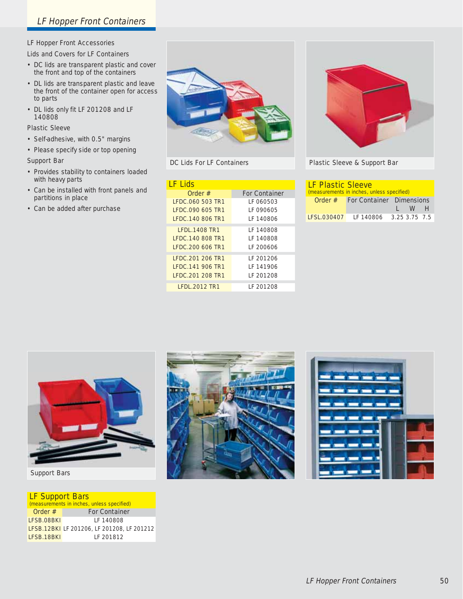# LF Hopper Front Accessories

# Lids and Covers for LF Containers

- DC lids are transparent plastic and cover the front and top of the containers
- DL lids are transparent plastic and leave the front of the container open for access to parts
- DL lids only fit LF 201208 and LF 140808

#### Plastic Sleeve

- Self-adhesive, with 0.5" margins
- Please specify side or top opening

#### Support Bar

- Provides stability to containers loaded with heavy parts
- Can be installed with front panels and partitions in place
- Can be added after purchase



DC Lids For LF Containers

| <u>I E Lids</u>                                                  |                                      |  |  |
|------------------------------------------------------------------|--------------------------------------|--|--|
| Order #                                                          | <b>For Container</b>                 |  |  |
| LFDC.060 503 TR1                                                 | LF 060503                            |  |  |
| LEDC.090 605 TR1                                                 | LE 090605                            |  |  |
| LEDC.140 806 TR1                                                 | I F 140806                           |  |  |
| <b>IFDI 1408 TR1</b><br>LEDC.140 808 TR1<br>LFDC.200 606 TR1     | LF 140808<br>LE 140808<br>I E 200606 |  |  |
| LFDC.201 206 TR1<br><b>IFDC.141 906 TR1</b><br>I FDC.201 208 TR1 | IF 201206<br>LF 141906<br>I F 201208 |  |  |
| <b>IFDI 2012 TR1</b>                                             | I F 201208                           |  |  |



Plastic Sleeve & Support Bar

| <b>LF Plastic Sleeve</b><br>(measurements in inches, unless specified) |                                 |  |         |  |
|------------------------------------------------------------------------|---------------------------------|--|---------|--|
| Order $#$                                                              | <b>For Container Dimensions</b> |  |         |  |
|                                                                        |                                 |  | $I$ W H |  |
| <b>LESL 030407</b>                                                     | IF 140806 3.25 3.75 7.5         |  |         |  |



# Support Bars

# LF Support Bars

| (measurements in inches, unless specified) |                                                   |  |  |
|--------------------------------------------|---------------------------------------------------|--|--|
| Order $#$                                  | <b>For Container</b>                              |  |  |
| LFSB.08BKI                                 | IF 140808                                         |  |  |
|                                            | <b>LFSB.12BKI</b> LF 201206, LF 201208, LF 201212 |  |  |
| LFSB.18BKI                                 | IF 201812                                         |  |  |



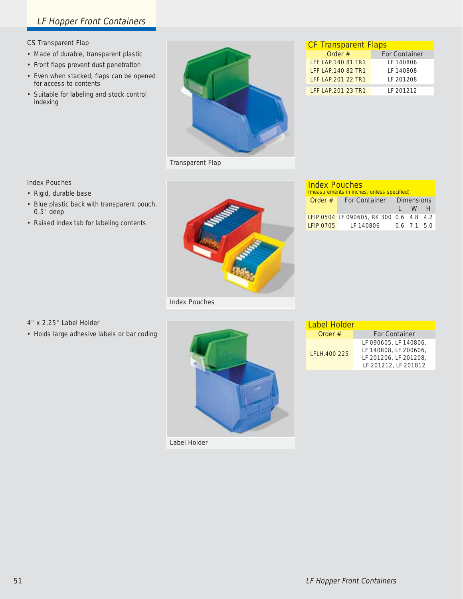# LF Hopper Front Containers

#### CS Transparent Flap

- Made of durable, transparent plastic
- Front flaps prevent dust penetration
- Even when stacked, flaps can be opened for access to contents
- Suitable for labeling and stock control indexing



**CF Transparent Flaps**<br>Order # Fo **For Container** LFF LAP.140 81 TR1 LF 140806 LFF LAP.140 82 TR1 LF 140808 LFF LAP.201 22 TR1 LF 201208

LFF LAP.201 23 TR1 LF 201212

Transparent Flap

#### Index Pouches

• Rigid, durable base

4" x 2.25" Label Holder

• Blue plastic back with transparent pouch, 0.5" deep

• Holds large adhesive labels or bar coding

• Raised index tab for labeling contents

# Index Pouches

| <b>Index Pouches</b><br>(measurements in inches, unless specified) |                                         |  |                     |  |
|--------------------------------------------------------------------|-----------------------------------------|--|---------------------|--|
|                                                                    | <b>Order # For Container Dimensions</b> |  |                     |  |
|                                                                    |                                         |  | $1 \quad W \quad H$ |  |
|                                                                    | LFIP.0504 LF 090605, RK 300 0.6 4.8 4.2 |  |                     |  |
|                                                                    | LFIP.0705 LF 140806 0.6 7.1 5.0         |  |                     |  |



| Label Holder |                                                                                                 |  |
|--------------|-------------------------------------------------------------------------------------------------|--|
| Order $#$    | <b>For Container</b>                                                                            |  |
| LFLH.400 225 | LF 090605, LF 140806,<br>LF 140808, LF 200606,<br>LF 201206, LF 201208,<br>LF 201212, LF 201812 |  |